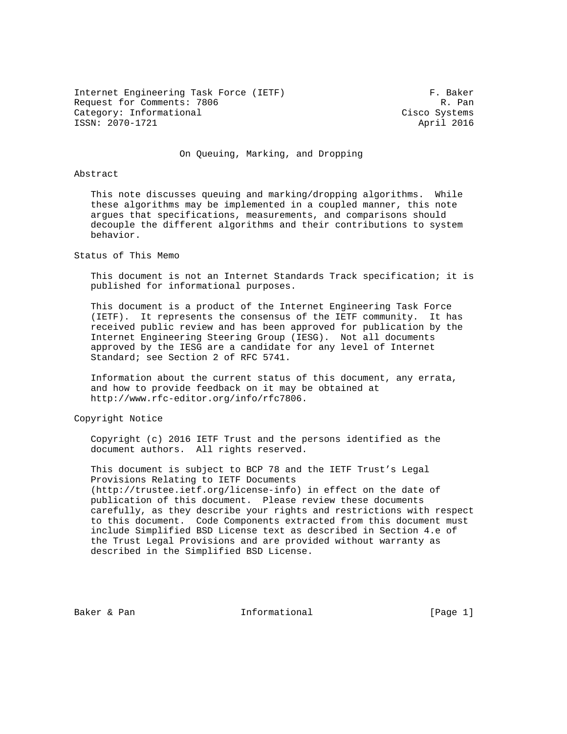Internet Engineering Task Force (IETF) F. Baker Request for Comments: 7806 R. Pan Category: Informational Category: Cisco Systems ISSN: 2070-1721 April 2016

On Queuing, Marking, and Dropping

#### Abstract

 This note discusses queuing and marking/dropping algorithms. While these algorithms may be implemented in a coupled manner, this note argues that specifications, measurements, and comparisons should decouple the different algorithms and their contributions to system behavior.

Status of This Memo

 This document is not an Internet Standards Track specification; it is published for informational purposes.

 This document is a product of the Internet Engineering Task Force (IETF). It represents the consensus of the IETF community. It has received public review and has been approved for publication by the Internet Engineering Steering Group (IESG). Not all documents approved by the IESG are a candidate for any level of Internet Standard; see Section 2 of RFC 5741.

 Information about the current status of this document, any errata, and how to provide feedback on it may be obtained at http://www.rfc-editor.org/info/rfc7806.

Copyright Notice

 Copyright (c) 2016 IETF Trust and the persons identified as the document authors. All rights reserved.

 This document is subject to BCP 78 and the IETF Trust's Legal Provisions Relating to IETF Documents (http://trustee.ietf.org/license-info) in effect on the date of publication of this document. Please review these documents carefully, as they describe your rights and restrictions with respect to this document. Code Components extracted from this document must include Simplified BSD License text as described in Section 4.e of the Trust Legal Provisions and are provided without warranty as described in the Simplified BSD License.

Baker & Pan  $I_n$  Informational [Page 1]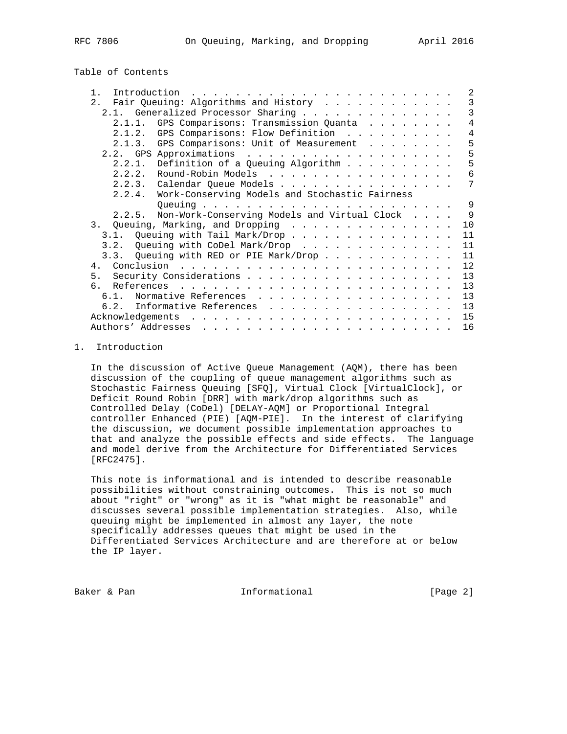# Table of Contents

| Introduction<br>$\mathbf{1}$<br>and a constitution of the contract of the contract of the contract of the contract of the contract of the contract of the contract of the contract of the contract of the contract of the contract of the contract of the cont                                                                                                                                                | 2            |
|---------------------------------------------------------------------------------------------------------------------------------------------------------------------------------------------------------------------------------------------------------------------------------------------------------------------------------------------------------------------------------------------------------------|--------------|
| Fair Queuing: Algorithms and History<br>2.1                                                                                                                                                                                                                                                                                                                                                                   | 3            |
| 2.1. Generalized Processor Sharing                                                                                                                                                                                                                                                                                                                                                                            | 3            |
| GPS Comparisons: Transmission Quanta<br>2.1.1.                                                                                                                                                                                                                                                                                                                                                                | 4            |
|                                                                                                                                                                                                                                                                                                                                                                                                               |              |
| GPS Comparisons: Flow Definition<br>2.1.2.                                                                                                                                                                                                                                                                                                                                                                    | 4            |
| GPS Comparisons: Unit of Measurement<br>2.1.3.                                                                                                                                                                                                                                                                                                                                                                | 5            |
|                                                                                                                                                                                                                                                                                                                                                                                                               | 5            |
| 2.2.1. Definition of a Queuing Algorithm                                                                                                                                                                                                                                                                                                                                                                      | 5            |
| 2.2.2. Round-Robin Models                                                                                                                                                                                                                                                                                                                                                                                     | 6            |
| 2.2.3. Calendar Queue Models                                                                                                                                                                                                                                                                                                                                                                                  | 7            |
| Work-Conserving Models and Stochastic Fairness<br>2.2.4.                                                                                                                                                                                                                                                                                                                                                      |              |
|                                                                                                                                                                                                                                                                                                                                                                                                               | 9            |
|                                                                                                                                                                                                                                                                                                                                                                                                               |              |
| 2.2.5. Non-Work-Conserving Models and Virtual Clock                                                                                                                                                                                                                                                                                                                                                           | $\mathsf{Q}$ |
| 3. Queuing, Marking, and Dropping                                                                                                                                                                                                                                                                                                                                                                             | 10           |
| 3.1. Queuing with Tail Mark/Drop                                                                                                                                                                                                                                                                                                                                                                              | 11           |
| 3.2. Queuing with CoDel Mark/Drop                                                                                                                                                                                                                                                                                                                                                                             | 11           |
| 3.3. Oueuing with RED or PIE Mark/Drop                                                                                                                                                                                                                                                                                                                                                                        | 11           |
|                                                                                                                                                                                                                                                                                                                                                                                                               | 12           |
| 5 <sub>1</sub>                                                                                                                                                                                                                                                                                                                                                                                                |              |
|                                                                                                                                                                                                                                                                                                                                                                                                               | 13           |
| რ.                                                                                                                                                                                                                                                                                                                                                                                                            | 13           |
| Normative References<br>6.1.                                                                                                                                                                                                                                                                                                                                                                                  | 13           |
| Informative References<br>6.2.                                                                                                                                                                                                                                                                                                                                                                                | 13           |
| Acknowledgements                                                                                                                                                                                                                                                                                                                                                                                              | 15           |
| Authors' Addresses<br>$\mathbf{1}^{(1)} \mathbf{1}^{(2)} \mathbf{1}^{(3)} \mathbf{1}^{(4)} \mathbf{1}^{(5)} \mathbf{1}^{(6)} \mathbf{1}^{(6)} \mathbf{1}^{(6)} \mathbf{1}^{(6)} \mathbf{1}^{(6)} \mathbf{1}^{(6)} \mathbf{1}^{(6)} \mathbf{1}^{(6)} \mathbf{1}^{(6)} \mathbf{1}^{(6)} \mathbf{1}^{(6)} \mathbf{1}^{(6)} \mathbf{1}^{(6)} \mathbf{1}^{(6)} \mathbf{1}^{(6)} \mathbf{1}^{(6)} \mathbf{1}^{(6)}$ | 16           |
|                                                                                                                                                                                                                                                                                                                                                                                                               |              |

# 1. Introduction

 In the discussion of Active Queue Management (AQM), there has been discussion of the coupling of queue management algorithms such as Stochastic Fairness Queuing [SFQ], Virtual Clock [VirtualClock], or Deficit Round Robin [DRR] with mark/drop algorithms such as Controlled Delay (CoDel) [DELAY-AQM] or Proportional Integral controller Enhanced (PIE) [AQM-PIE]. In the interest of clarifying the discussion, we document possible implementation approaches to that and analyze the possible effects and side effects. The language and model derive from the Architecture for Differentiated Services [RFC2475].

 This note is informational and is intended to describe reasonable possibilities without constraining outcomes. This is not so much about "right" or "wrong" as it is "what might be reasonable" and discusses several possible implementation strategies. Also, while queuing might be implemented in almost any layer, the note specifically addresses queues that might be used in the Differentiated Services Architecture and are therefore at or below the IP layer.

Baker & Pan  $I_n$  Informational [Page 2]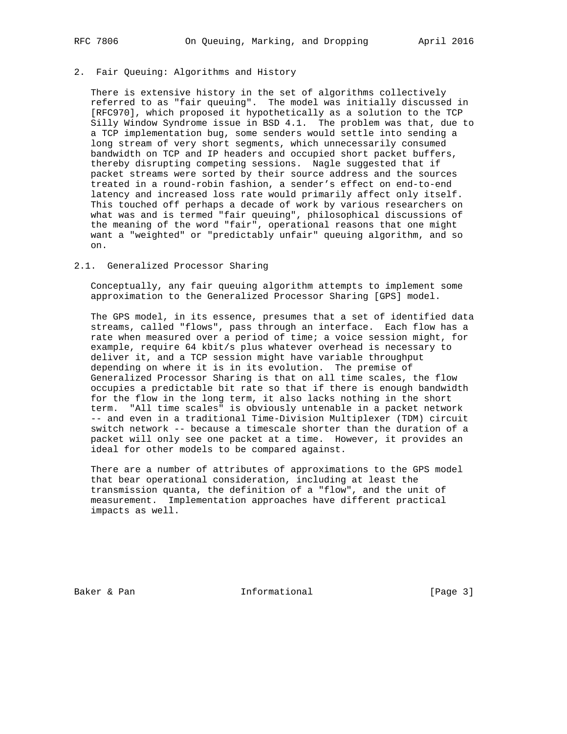#### 2. Fair Queuing: Algorithms and History

 There is extensive history in the set of algorithms collectively referred to as "fair queuing". The model was initially discussed in [RFC970], which proposed it hypothetically as a solution to the TCP Silly Window Syndrome issue in BSD 4.1. The problem was that, due to a TCP implementation bug, some senders would settle into sending a long stream of very short segments, which unnecessarily consumed bandwidth on TCP and IP headers and occupied short packet buffers, thereby disrupting competing sessions. Nagle suggested that if packet streams were sorted by their source address and the sources treated in a round-robin fashion, a sender's effect on end-to-end latency and increased loss rate would primarily affect only itself. This touched off perhaps a decade of work by various researchers on what was and is termed "fair queuing", philosophical discussions of the meaning of the word "fair", operational reasons that one might want a "weighted" or "predictably unfair" queuing algorithm, and so on.

#### 2.1. Generalized Processor Sharing

 Conceptually, any fair queuing algorithm attempts to implement some approximation to the Generalized Processor Sharing [GPS] model.

 The GPS model, in its essence, presumes that a set of identified data streams, called "flows", pass through an interface. Each flow has a rate when measured over a period of time; a voice session might, for example, require 64 kbit/s plus whatever overhead is necessary to deliver it, and a TCP session might have variable throughput depending on where it is in its evolution. The premise of Generalized Processor Sharing is that on all time scales, the flow occupies a predictable bit rate so that if there is enough bandwidth for the flow in the long term, it also lacks nothing in the short term. "All time scales" is obviously untenable in a packet network -- and even in a traditional Time-Division Multiplexer (TDM) circuit switch network -- because a timescale shorter than the duration of a packet will only see one packet at a time. However, it provides an ideal for other models to be compared against.

 There are a number of attributes of approximations to the GPS model that bear operational consideration, including at least the transmission quanta, the definition of a "flow", and the unit of measurement. Implementation approaches have different practical impacts as well.

Baker & Pan  $I_n$  Informational [Page 3]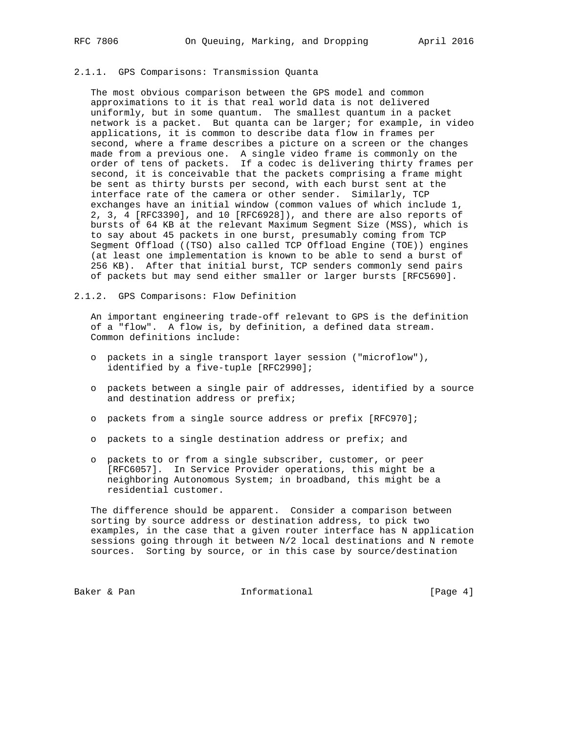# 2.1.1. GPS Comparisons: Transmission Quanta

 The most obvious comparison between the GPS model and common approximations to it is that real world data is not delivered uniformly, but in some quantum. The smallest quantum in a packet network is a packet. But quanta can be larger; for example, in video applications, it is common to describe data flow in frames per second, where a frame describes a picture on a screen or the changes made from a previous one. A single video frame is commonly on the order of tens of packets. If a codec is delivering thirty frames per second, it is conceivable that the packets comprising a frame might be sent as thirty bursts per second, with each burst sent at the interface rate of the camera or other sender. Similarly, TCP exchanges have an initial window (common values of which include 1, 2, 3, 4 [RFC3390], and 10 [RFC6928]), and there are also reports of bursts of 64 KB at the relevant Maximum Segment Size (MSS), which is to say about 45 packets in one burst, presumably coming from TCP Segment Offload ((TSO) also called TCP Offload Engine (TOE)) engines (at least one implementation is known to be able to send a burst of 256 KB). After that initial burst, TCP senders commonly send pairs of packets but may send either smaller or larger bursts [RFC5690].

2.1.2. GPS Comparisons: Flow Definition

 An important engineering trade-off relevant to GPS is the definition of a "flow". A flow is, by definition, a defined data stream. Common definitions include:

- o packets in a single transport layer session ("microflow"), identified by a five-tuple [RFC2990];
- o packets between a single pair of addresses, identified by a source and destination address or prefix;
- o packets from a single source address or prefix [RFC970];
- o packets to a single destination address or prefix; and
- o packets to or from a single subscriber, customer, or peer [RFC6057]. In Service Provider operations, this might be a neighboring Autonomous System; in broadband, this might be a residential customer.

 The difference should be apparent. Consider a comparison between sorting by source address or destination address, to pick two examples, in the case that a given router interface has N application sessions going through it between N/2 local destinations and N remote sources. Sorting by source, or in this case by source/destination

Baker & Pan  $I_n$  Informational [Page 4]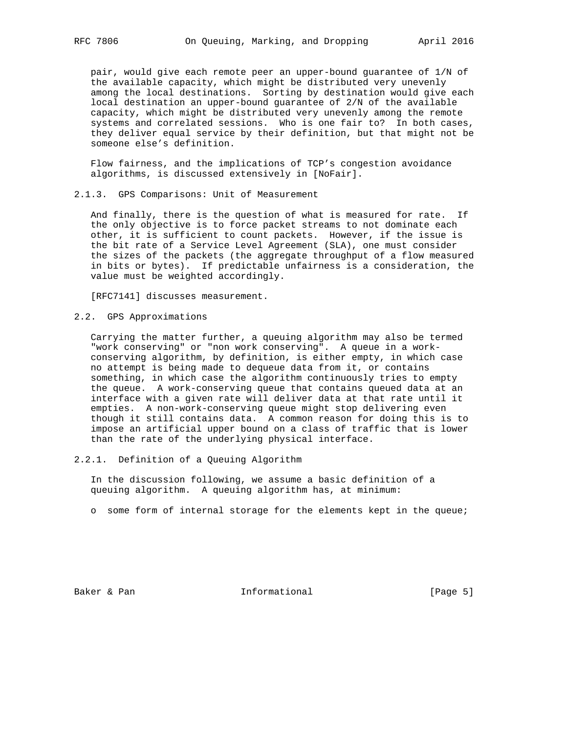pair, would give each remote peer an upper-bound guarantee of 1/N of the available capacity, which might be distributed very unevenly among the local destinations. Sorting by destination would give each local destination an upper-bound guarantee of 2/N of the available capacity, which might be distributed very unevenly among the remote systems and correlated sessions. Who is one fair to? In both cases, they deliver equal service by their definition, but that might not be someone else's definition.

 Flow fairness, and the implications of TCP's congestion avoidance algorithms, is discussed extensively in [NoFair].

2.1.3. GPS Comparisons: Unit of Measurement

 And finally, there is the question of what is measured for rate. If the only objective is to force packet streams to not dominate each other, it is sufficient to count packets. However, if the issue is the bit rate of a Service Level Agreement (SLA), one must consider the sizes of the packets (the aggregate throughput of a flow measured in bits or bytes). If predictable unfairness is a consideration, the value must be weighted accordingly.

[RFC7141] discusses measurement.

2.2. GPS Approximations

 Carrying the matter further, a queuing algorithm may also be termed "work conserving" or "non work conserving". A queue in a work conserving algorithm, by definition, is either empty, in which case no attempt is being made to dequeue data from it, or contains something, in which case the algorithm continuously tries to empty the queue. A work-conserving queue that contains queued data at an interface with a given rate will deliver data at that rate until it empties. A non-work-conserving queue might stop delivering even though it still contains data. A common reason for doing this is to impose an artificial upper bound on a class of traffic that is lower than the rate of the underlying physical interface.

2.2.1. Definition of a Queuing Algorithm

 In the discussion following, we assume a basic definition of a queuing algorithm. A queuing algorithm has, at minimum:

o some form of internal storage for the elements kept in the queue;

Baker & Pan  $I_n$  Informational [Page 5]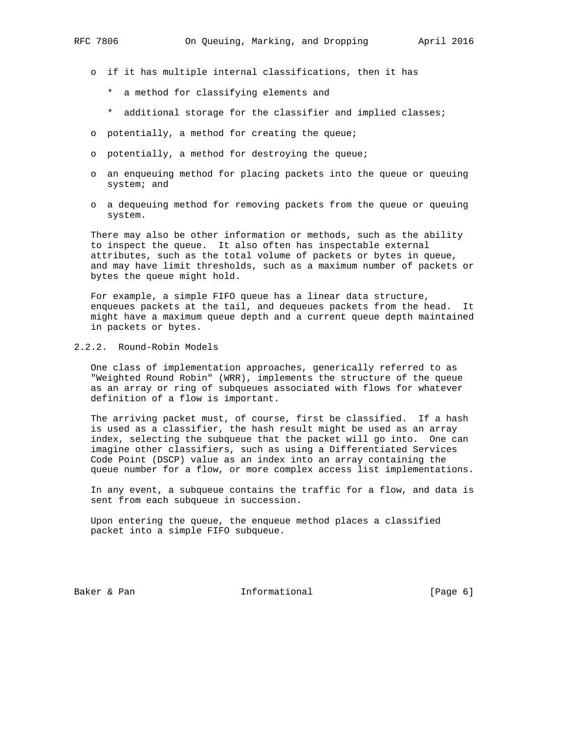- o if it has multiple internal classifications, then it has
	- \* a method for classifying elements and
	- \* additional storage for the classifier and implied classes;
- o potentially, a method for creating the queue;
- o potentially, a method for destroying the queue;
- o an enqueuing method for placing packets into the queue or queuing system; and
- o a dequeuing method for removing packets from the queue or queuing system.

 There may also be other information or methods, such as the ability to inspect the queue. It also often has inspectable external attributes, such as the total volume of packets or bytes in queue, and may have limit thresholds, such as a maximum number of packets or bytes the queue might hold.

 For example, a simple FIFO queue has a linear data structure, enqueues packets at the tail, and dequeues packets from the head. It might have a maximum queue depth and a current queue depth maintained in packets or bytes.

# 2.2.2. Round-Robin Models

 One class of implementation approaches, generically referred to as "Weighted Round Robin" (WRR), implements the structure of the queue as an array or ring of subqueues associated with flows for whatever definition of a flow is important.

 The arriving packet must, of course, first be classified. If a hash is used as a classifier, the hash result might be used as an array index, selecting the subqueue that the packet will go into. One can imagine other classifiers, such as using a Differentiated Services Code Point (DSCP) value as an index into an array containing the queue number for a flow, or more complex access list implementations.

 In any event, a subqueue contains the traffic for a flow, and data is sent from each subqueue in succession.

 Upon entering the queue, the enqueue method places a classified packet into a simple FIFO subqueue.

Baker & Pan  $I_n$  Informational [Page 6]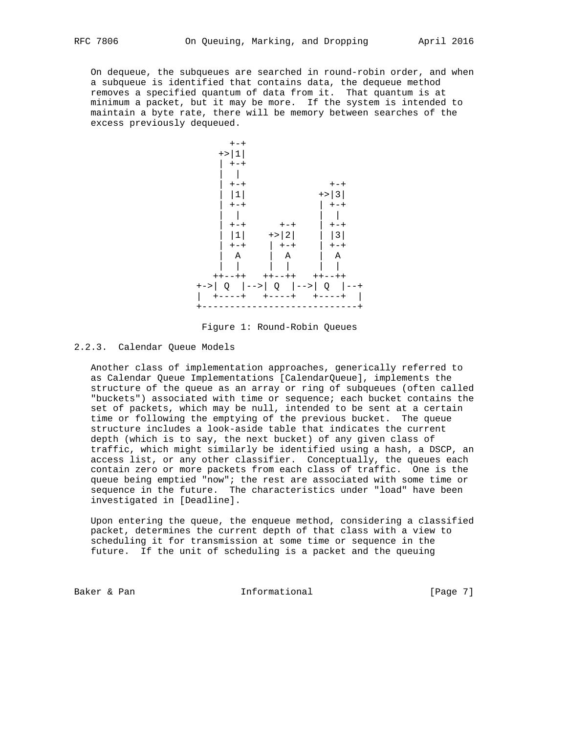On dequeue, the subqueues are searched in round-robin order, and when a subqueue is identified that contains data, the dequeue method removes a specified quantum of data from it. That quantum is at minimum a packet, but it may be more. If the system is intended to maintain a byte rate, there will be memory between searches of the excess previously dequeued.



Figure 1: Round-Robin Queues

2.2.3. Calendar Queue Models

 Another class of implementation approaches, generically referred to as Calendar Queue Implementations [CalendarQueue], implements the structure of the queue as an array or ring of subqueues (often called "buckets") associated with time or sequence; each bucket contains the set of packets, which may be null, intended to be sent at a certain time or following the emptying of the previous bucket. The queue structure includes a look-aside table that indicates the current depth (which is to say, the next bucket) of any given class of traffic, which might similarly be identified using a hash, a DSCP, an access list, or any other classifier. Conceptually, the queues each contain zero or more packets from each class of traffic. One is the queue being emptied "now"; the rest are associated with some time or sequence in the future. The characteristics under "load" have been investigated in [Deadline].

 Upon entering the queue, the enqueue method, considering a classified packet, determines the current depth of that class with a view to scheduling it for transmission at some time or sequence in the future. If the unit of scheduling is a packet and the queuing

Baker & Pan de Communism informational and the contract of the Page 7]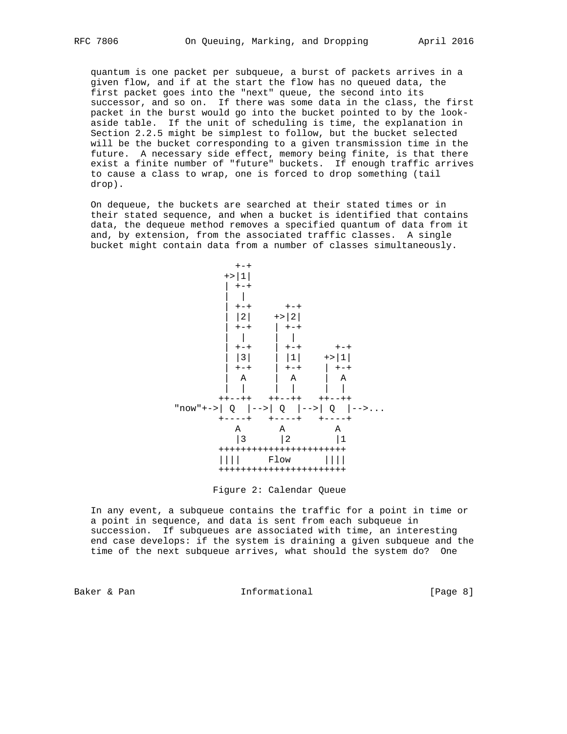quantum is one packet per subqueue, a burst of packets arrives in a given flow, and if at the start the flow has no queued data, the first packet goes into the "next" queue, the second into its successor, and so on. If there was some data in the class, the first packet in the burst would go into the bucket pointed to by the look aside table. If the unit of scheduling is time, the explanation in Section 2.2.5 might be simplest to follow, but the bucket selected will be the bucket corresponding to a given transmission time in the future. A necessary side effect, memory being finite, is that there exist a finite number of "future" buckets. If enough traffic arrives to cause a class to wrap, one is forced to drop something (tail drop).

 On dequeue, the buckets are searched at their stated times or in their stated sequence, and when a bucket is identified that contains data, the dequeue method removes a specified quantum of data from it and, by extension, from the associated traffic classes. A single bucket might contain data from a number of classes simultaneously.





 In any event, a subqueue contains the traffic for a point in time or a point in sequence, and data is sent from each subqueue in succession. If subqueues are associated with time, an interesting end case develops: if the system is draining a given subqueue and the time of the next subqueue arrives, what should the system do? One

Baker & Pan 1988 (Page 8) Baker & Pan Informational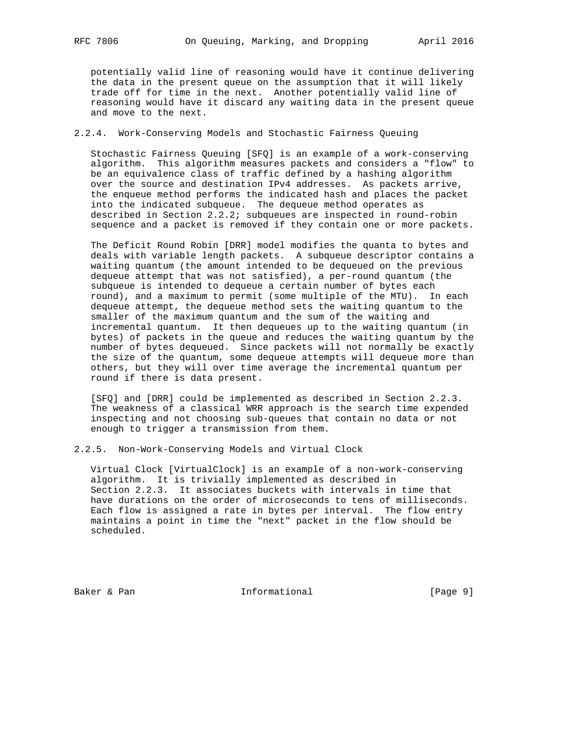potentially valid line of reasoning would have it continue delivering the data in the present queue on the assumption that it will likely trade off for time in the next. Another potentially valid line of reasoning would have it discard any waiting data in the present queue and move to the next.

# 2.2.4. Work-Conserving Models and Stochastic Fairness Queuing

 Stochastic Fairness Queuing [SFQ] is an example of a work-conserving algorithm. This algorithm measures packets and considers a "flow" to be an equivalence class of traffic defined by a hashing algorithm over the source and destination IPv4 addresses. As packets arrive, the enqueue method performs the indicated hash and places the packet into the indicated subqueue. The dequeue method operates as described in Section 2.2.2; subqueues are inspected in round-robin sequence and a packet is removed if they contain one or more packets.

 The Deficit Round Robin [DRR] model modifies the quanta to bytes and deals with variable length packets. A subqueue descriptor contains a waiting quantum (the amount intended to be dequeued on the previous dequeue attempt that was not satisfied), a per-round quantum (the subqueue is intended to dequeue a certain number of bytes each round), and a maximum to permit (some multiple of the MTU). In each dequeue attempt, the dequeue method sets the waiting quantum to the smaller of the maximum quantum and the sum of the waiting and incremental quantum. It then dequeues up to the waiting quantum (in bytes) of packets in the queue and reduces the waiting quantum by the number of bytes dequeued. Since packets will not normally be exactly the size of the quantum, some dequeue attempts will dequeue more than others, but they will over time average the incremental quantum per round if there is data present.

 [SFQ] and [DRR] could be implemented as described in Section 2.2.3. The weakness of a classical WRR approach is the search time expended inspecting and not choosing sub-queues that contain no data or not enough to trigger a transmission from them.

2.2.5. Non-Work-Conserving Models and Virtual Clock

 Virtual Clock [VirtualClock] is an example of a non-work-conserving algorithm. It is trivially implemented as described in Section 2.2.3. It associates buckets with intervals in time that have durations on the order of microseconds to tens of milliseconds. Each flow is assigned a rate in bytes per interval. The flow entry maintains a point in time the "next" packet in the flow should be scheduled.

Baker & Pan  $I_n$  Informational [Page 9]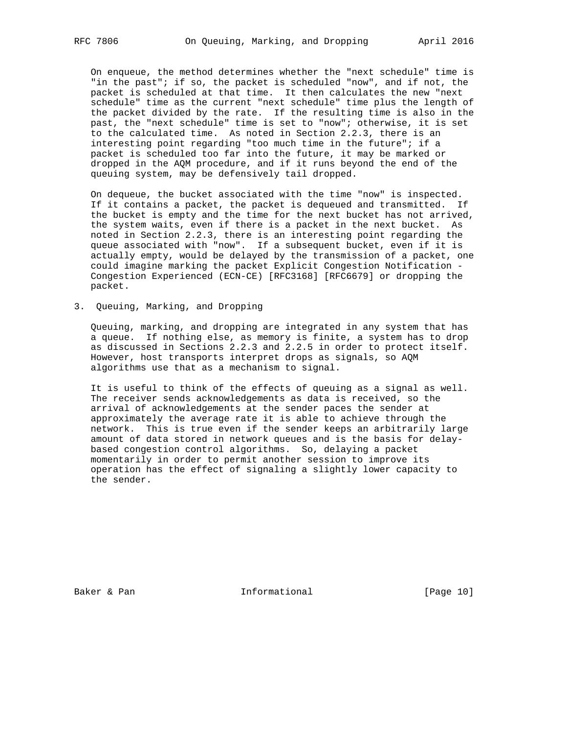On enqueue, the method determines whether the "next schedule" time is "in the past"; if so, the packet is scheduled "now", and if not, the packet is scheduled at that time. It then calculates the new "next schedule" time as the current "next schedule" time plus the length of the packet divided by the rate. If the resulting time is also in the past, the "next schedule" time is set to "now"; otherwise, it is set to the calculated time. As noted in Section 2.2.3, there is an interesting point regarding "too much time in the future"; if a packet is scheduled too far into the future, it may be marked or dropped in the AQM procedure, and if it runs beyond the end of the queuing system, may be defensively tail dropped.

 On dequeue, the bucket associated with the time "now" is inspected. If it contains a packet, the packet is dequeued and transmitted. If the bucket is empty and the time for the next bucket has not arrived, the system waits, even if there is a packet in the next bucket. As noted in Section 2.2.3, there is an interesting point regarding the queue associated with "now". If a subsequent bucket, even if it is actually empty, would be delayed by the transmission of a packet, one could imagine marking the packet Explicit Congestion Notification - Congestion Experienced (ECN-CE) [RFC3168] [RFC6679] or dropping the packet.

3. Queuing, Marking, and Dropping

 Queuing, marking, and dropping are integrated in any system that has a queue. If nothing else, as memory is finite, a system has to drop as discussed in Sections 2.2.3 and 2.2.5 in order to protect itself. However, host transports interpret drops as signals, so AQM algorithms use that as a mechanism to signal.

 It is useful to think of the effects of queuing as a signal as well. The receiver sends acknowledgements as data is received, so the arrival of acknowledgements at the sender paces the sender at approximately the average rate it is able to achieve through the network. This is true even if the sender keeps an arbitrarily large amount of data stored in network queues and is the basis for delay based congestion control algorithms. So, delaying a packet momentarily in order to permit another session to improve its operation has the effect of signaling a slightly lower capacity to the sender.

Baker & Pan  $I_n$  Informational [Page 10]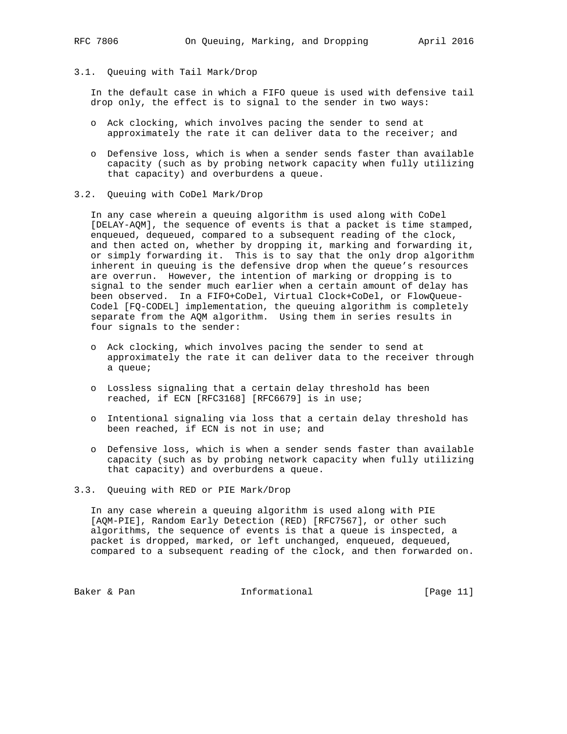3.1. Queuing with Tail Mark/Drop

 In the default case in which a FIFO queue is used with defensive tail drop only, the effect is to signal to the sender in two ways:

- o Ack clocking, which involves pacing the sender to send at approximately the rate it can deliver data to the receiver; and
- o Defensive loss, which is when a sender sends faster than available capacity (such as by probing network capacity when fully utilizing that capacity) and overburdens a queue.
- 3.2. Queuing with CoDel Mark/Drop

 In any case wherein a queuing algorithm is used along with CoDel [DELAY-AQM], the sequence of events is that a packet is time stamped, enqueued, dequeued, compared to a subsequent reading of the clock, and then acted on, whether by dropping it, marking and forwarding it, or simply forwarding it. This is to say that the only drop algorithm inherent in queuing is the defensive drop when the queue's resources are overrun. However, the intention of marking or dropping is to signal to the sender much earlier when a certain amount of delay has been observed. In a FIFO+CoDel, Virtual Clock+CoDel, or FlowQueue- Codel [FQ-CODEL] implementation, the queuing algorithm is completely separate from the AQM algorithm. Using them in series results in four signals to the sender:

- o Ack clocking, which involves pacing the sender to send at approximately the rate it can deliver data to the receiver through a queue;
- o Lossless signaling that a certain delay threshold has been reached, if ECN [RFC3168] [RFC6679] is in use;
- o Intentional signaling via loss that a certain delay threshold has been reached, if ECN is not in use; and
- o Defensive loss, which is when a sender sends faster than available capacity (such as by probing network capacity when fully utilizing that capacity) and overburdens a queue.
- 3.3. Queuing with RED or PIE Mark/Drop

 In any case wherein a queuing algorithm is used along with PIE [AQM-PIE], Random Early Detection (RED) [RFC7567], or other such algorithms, the sequence of events is that a queue is inspected, a packet is dropped, marked, or left unchanged, enqueued, dequeued, compared to a subsequent reading of the clock, and then forwarded on.

Baker & Pan **Informational** [Page 11]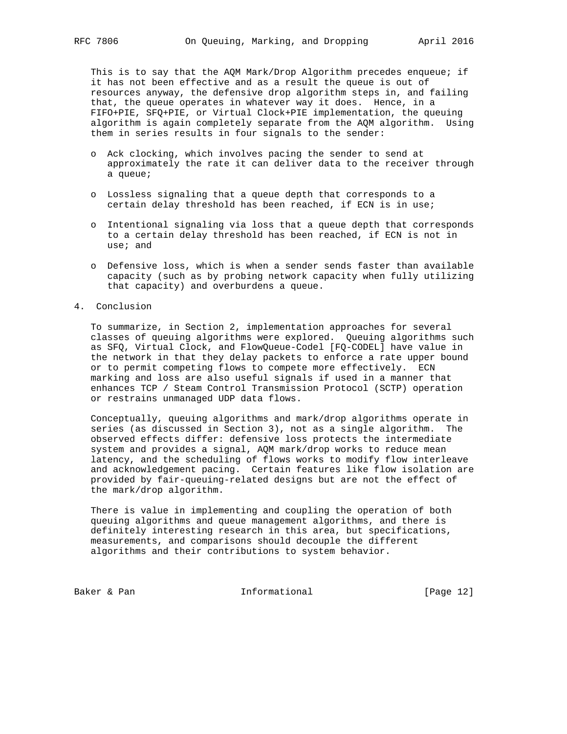This is to say that the AQM Mark/Drop Algorithm precedes enqueue; if it has not been effective and as a result the queue is out of resources anyway, the defensive drop algorithm steps in, and failing that, the queue operates in whatever way it does. Hence, in a FIFO+PIE, SFQ+PIE, or Virtual Clock+PIE implementation, the queuing algorithm is again completely separate from the AQM algorithm. Using them in series results in four signals to the sender:

- o Ack clocking, which involves pacing the sender to send at approximately the rate it can deliver data to the receiver through a queue;
- o Lossless signaling that a queue depth that corresponds to a certain delay threshold has been reached, if ECN is in use;
- o Intentional signaling via loss that a queue depth that corresponds to a certain delay threshold has been reached, if ECN is not in use; and
- o Defensive loss, which is when a sender sends faster than available capacity (such as by probing network capacity when fully utilizing that capacity) and overburdens a queue.

#### 4. Conclusion

 To summarize, in Section 2, implementation approaches for several classes of queuing algorithms were explored. Queuing algorithms such as SFQ, Virtual Clock, and FlowQueue-Codel [FQ-CODEL] have value in the network in that they delay packets to enforce a rate upper bound or to permit competing flows to compete more effectively. ECN marking and loss are also useful signals if used in a manner that enhances TCP / Steam Control Transmission Protocol (SCTP) operation or restrains unmanaged UDP data flows.

 Conceptually, queuing algorithms and mark/drop algorithms operate in series (as discussed in Section 3), not as a single algorithm. The observed effects differ: defensive loss protects the intermediate system and provides a signal, AQM mark/drop works to reduce mean latency, and the scheduling of flows works to modify flow interleave and acknowledgement pacing. Certain features like flow isolation are provided by fair-queuing-related designs but are not the effect of the mark/drop algorithm.

 There is value in implementing and coupling the operation of both queuing algorithms and queue management algorithms, and there is definitely interesting research in this area, but specifications, measurements, and comparisons should decouple the different algorithms and their contributions to system behavior.

Baker & Pan **Informational** [Page 12]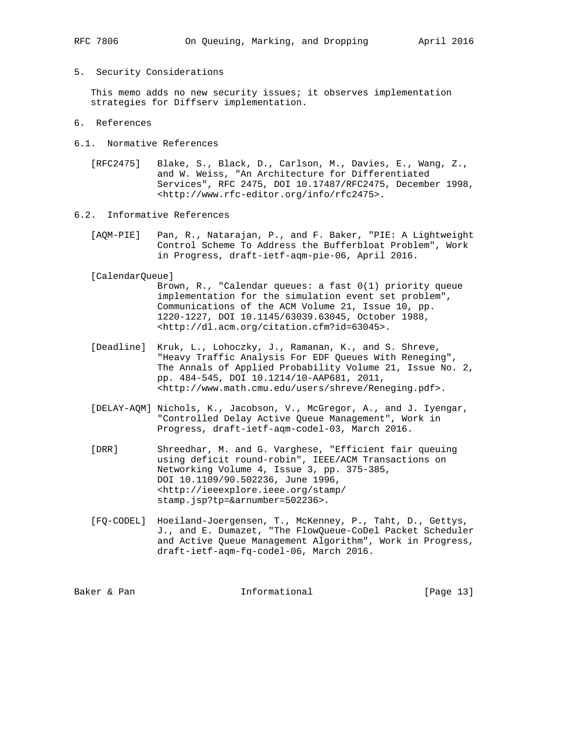5. Security Considerations

 This memo adds no new security issues; it observes implementation strategies for Diffserv implementation.

- 6. References
- 6.1. Normative References
	- [RFC2475] Blake, S., Black, D., Carlson, M., Davies, E., Wang, Z., and W. Weiss, "An Architecture for Differentiated Services", RFC 2475, DOI 10.17487/RFC2475, December 1998, <http://www.rfc-editor.org/info/rfc2475>.
- 6.2. Informative References
	- [AQM-PIE] Pan, R., Natarajan, P., and F. Baker, "PIE: A Lightweight Control Scheme To Address the Bufferbloat Problem", Work in Progress, draft-ietf-aqm-pie-06, April 2016.
	- [CalendarQueue]

 Brown, R., "Calendar queues: a fast 0(1) priority queue implementation for the simulation event set problem", Communications of the ACM Volume 21, Issue 10, pp. 1220-1227, DOI 10.1145/63039.63045, October 1988, <http://dl.acm.org/citation.cfm?id=63045>.

- [Deadline] Kruk, L., Lohoczky, J., Ramanan, K., and S. Shreve, "Heavy Traffic Analysis For EDF Queues With Reneging", The Annals of Applied Probability Volume 21, Issue No. 2, pp. 484-545, DOI 10.1214/10-AAP681, 2011, <http://www.math.cmu.edu/users/shreve/Reneging.pdf>.
- [DELAY-AQM] Nichols, K., Jacobson, V., McGregor, A., and J. Iyengar, "Controlled Delay Active Queue Management", Work in Progress, draft-ietf-aqm-codel-03, March 2016.
- [DRR] Shreedhar, M. and G. Varghese, "Efficient fair queuing using deficit round-robin", IEEE/ACM Transactions on Networking Volume 4, Issue 3, pp. 375-385, DOI 10.1109/90.502236, June 1996, <http://ieeexplore.ieee.org/stamp/ stamp.jsp?tp=&arnumber=502236>.
- [FQ-CODEL] Hoeiland-Joergensen, T., McKenney, P., Taht, D., Gettys, J., and E. Dumazet, "The FlowQueue-CoDel Packet Scheduler and Active Queue Management Algorithm", Work in Progress, draft-ietf-aqm-fq-codel-06, March 2016.

Baker & Pan  $I_n$  Informational [Page 13]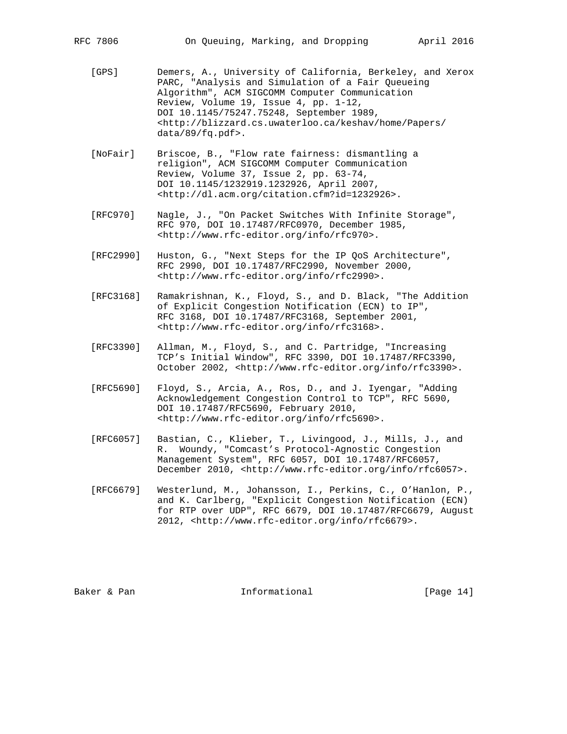- [GPS] Demers, A., University of California, Berkeley, and Xerox PARC, "Analysis and Simulation of a Fair Queueing Algorithm", ACM SIGCOMM Computer Communication Review, Volume 19, Issue 4, pp. 1-12, DOI 10.1145/75247.75248, September 1989, <http://blizzard.cs.uwaterloo.ca/keshav/home/Papers/ data/89/fq.pdf>.
- [NoFair] Briscoe, B., "Flow rate fairness: dismantling a religion", ACM SIGCOMM Computer Communication Review, Volume 37, Issue 2, pp. 63-74, DOI 10.1145/1232919.1232926, April 2007, <http://dl.acm.org/citation.cfm?id=1232926>.
- [RFC970] Nagle, J., "On Packet Switches With Infinite Storage", RFC 970, DOI 10.17487/RFC0970, December 1985, <http://www.rfc-editor.org/info/rfc970>.
- [RFC2990] Huston, G., "Next Steps for the IP QoS Architecture", RFC 2990, DOI 10.17487/RFC2990, November 2000, <http://www.rfc-editor.org/info/rfc2990>.
- [RFC3168] Ramakrishnan, K., Floyd, S., and D. Black, "The Addition of Explicit Congestion Notification (ECN) to IP", RFC 3168, DOI 10.17487/RFC3168, September 2001, <http://www.rfc-editor.org/info/rfc3168>.
- [RFC3390] Allman, M., Floyd, S., and C. Partridge, "Increasing TCP's Initial Window", RFC 3390, DOI 10.17487/RFC3390, October 2002, <http://www.rfc-editor.org/info/rfc3390>.
- [RFC5690] Floyd, S., Arcia, A., Ros, D., and J. Iyengar, "Adding Acknowledgement Congestion Control to TCP", RFC 5690, DOI 10.17487/RFC5690, February 2010, <http://www.rfc-editor.org/info/rfc5690>.
- [RFC6057] Bastian, C., Klieber, T., Livingood, J., Mills, J., and R. Woundy, "Comcast's Protocol-Agnostic Congestion Management System", RFC 6057, DOI 10.17487/RFC6057, December 2010, <http://www.rfc-editor.org/info/rfc6057>.
- [RFC6679] Westerlund, M., Johansson, I., Perkins, C., O'Hanlon, P., and K. Carlberg, "Explicit Congestion Notification (ECN) for RTP over UDP", RFC 6679, DOI 10.17487/RFC6679, August 2012, <http://www.rfc-editor.org/info/rfc6679>.

Baker & Pan 10 metal informational and the same of Page 14 metal in the set of the Informational contract in the I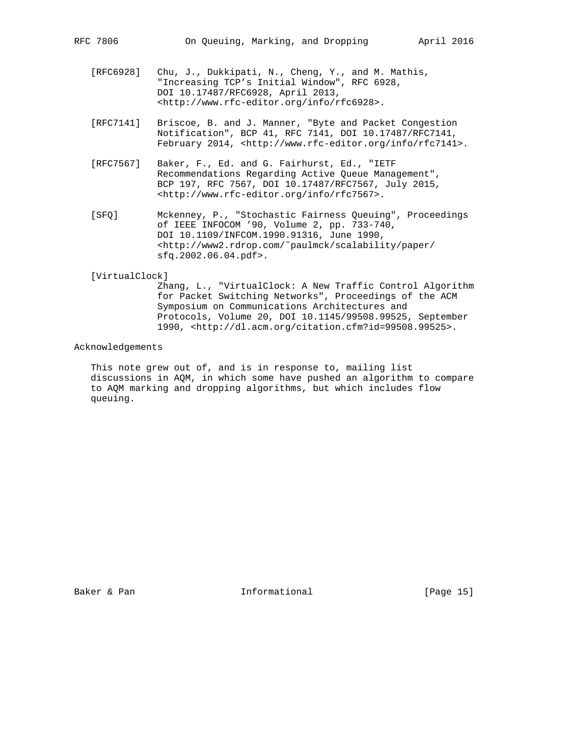- [RFC6928] Chu, J., Dukkipati, N., Cheng, Y., and M. Mathis, "Increasing TCP's Initial Window", RFC 6928, DOI 10.17487/RFC6928, April 2013, <http://www.rfc-editor.org/info/rfc6928>.
- [RFC7141] Briscoe, B. and J. Manner, "Byte and Packet Congestion Notification", BCP 41, RFC 7141, DOI 10.17487/RFC7141, February 2014, <http://www.rfc-editor.org/info/rfc7141>.
- [RFC7567] Baker, F., Ed. and G. Fairhurst, Ed., "IETF Recommendations Regarding Active Queue Management", BCP 197, RFC 7567, DOI 10.17487/RFC7567, July 2015, <http://www.rfc-editor.org/info/rfc7567>.
- [SFQ] Mckenney, P., "Stochastic Fairness Queuing", Proceedings of IEEE INFOCOM '90, Volume 2, pp. 733-740, DOI 10.1109/INFCOM.1990.91316, June 1990, <http://www2.rdrop.com/˜paulmck/scalability/paper/ sfq.2002.06.04.pdf>.

#### [VirtualClock]

 Zhang, L., "VirtualClock: A New Traffic Control Algorithm for Packet Switching Networks", Proceedings of the ACM Symposium on Communications Architectures and Protocols, Volume 20, DOI 10.1145/99508.99525, September 1990, <http://dl.acm.org/citation.cfm?id=99508.99525>.

### Acknowledgements

 This note grew out of, and is in response to, mailing list discussions in AQM, in which some have pushed an algorithm to compare to AQM marking and dropping algorithms, but which includes flow queuing.

Baker & Pan 10 metal informational and the same of Page 15